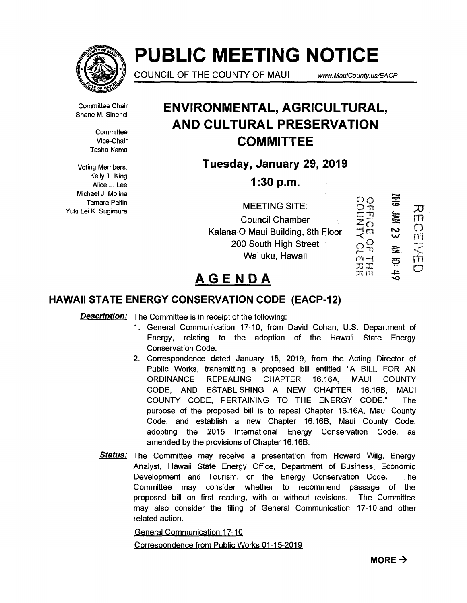

# **PUBLIC MEETING NOTICE**

**COUNCIL OF THE COUNTY OF MAUI** www.MauiCounty.us/EACP

Committee Chair Shane M. Sinenci

> **Committee** Vice-Chair Tasha Kama

Voting Members: Kelly T. King Alice L. Lee Michael J. Molina Tamara Paltin Yuki Lei K. Sugimura

# **ENVIRONMENTAL, AGRICULTURAL, AND CULTURAL PRESERVATION COMMITTEE**

**Tuesday, January 29, 2019** 

**1:30 p.m.** 

|                                   | いわ | $\Xi$ |  |
|-----------------------------------|----|-------|--|
| <b>MEETING SITE:</b>              |    |       |  |
| <b>Council Chamber</b>            |    | ≣     |  |
| Kalana O Maui Building, 8th Floor | FП | လ္က   |  |
| 200 South High Street             |    |       |  |
| Wailuku, Hawaii                   |    |       |  |
|                                   |    |       |  |

# **AGENDA**

# **HAWAII STATE ENERGY CONSERVATION CODE (EACP-12)**

**Description:** The Committee is in receipt of the following:

- 1. General Communication 17-10, from David Cohan, U.S. Department of Energy, relating to the adoption of the Hawaii State Energy Conservation Code.
- 2. Correspondence dated January 15, 2019, from the Acting Director of Public Works, transmitting a proposed bill entitled "A BILL FOR AN ORDINANCE REPEALING CHAPTER 16.16A, MAUI COUNTY CODE, AND ESTABLISHING A NEW CHAPTER 16.16B, MAUI COUNTY CODE, PERTAINING TO THE ENERGY CODE." The purpose of the proposed bill is to repeal Chapter 16.16A, Maui County Code, and establish a new Chapter 16.16B, Maui County Code, adopting the 2015 International Energy Conservation Code, as amended by the provisions of Chapter 16.16B.
- **Status:** The Committee may receive a presentation from Howard Wiig, Energy Analyst, Hawaii State Energy Office, Department of Business, Economic Development and Tourism, on the Energy Conservation Code. The Committee may consider whether to recommend passage of the proposed bill on first reading, with or without revisions. The Committee may also consider the filing of General Communication 17-10 and other related action.

General Communication 17-10

Correspondence from Public Works 01-15-2019

49